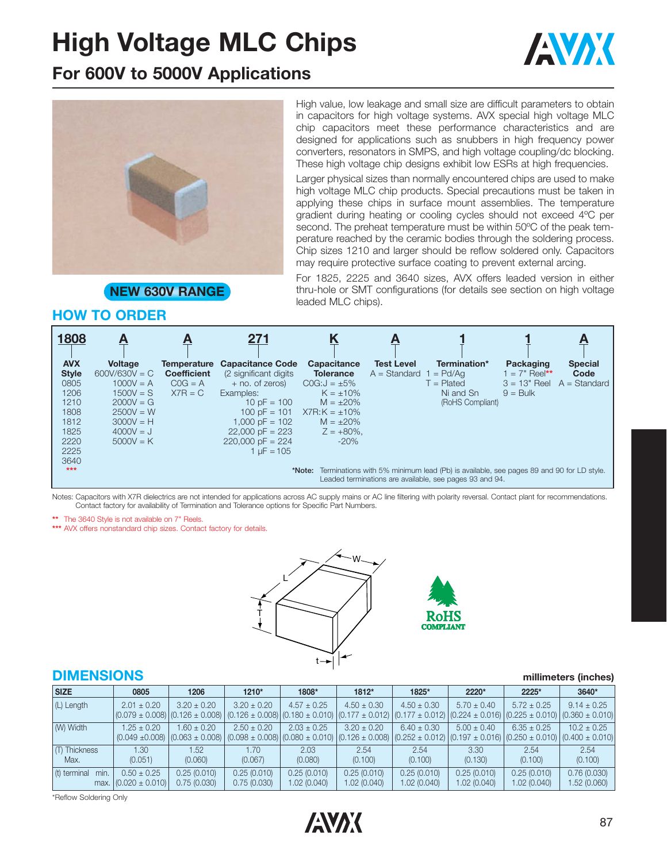# **High Voltage MLC Chips**







High value, low leakage and small size are difficult parameters to obtain in capacitors for high voltage systems. AVX special high voltage MLC chip capacitors meet these performance characteristics and are designed for applications such as snubbers in high frequency power converters, resonators in SMPS, and high voltage coupling/dc blocking. These high voltage chip designs exhibit low ESRs at high frequencies.

Larger physical sizes than normally encountered chips are used to make high voltage MLC chip products. Special precautions must be taken in applying these chips in surface mount assemblies. The temperature gradient during heating or cooling cycles should not exceed 4ºC per second. The preheat temperature must be within 50ºC of the peak temperature reached by the ceramic bodies through the soldering process. Chip sizes 1210 and larger should be reflow soldered only. Capacitors may require protective surface coating to prevent external arcing.

**NEW 630V RANGE**

For 1825, 2225 and 3640 sizes, AVX offers leaded version in either thru-hole or SMT configurations (for details see section on high voltage leaded MLC chips).

### **HOW TO ORDER**

| 1808         | <u>А</u>        | A                  | 271                     |                    |                   |                                                                                                                                                          |                 | A              |
|--------------|-----------------|--------------------|-------------------------|--------------------|-------------------|----------------------------------------------------------------------------------------------------------------------------------------------------------|-----------------|----------------|
| <b>AVX</b>   | <b>Voltage</b>  | Temperature        | <b>Capacitance Code</b> | <b>Capacitance</b> | <b>Test Level</b> | Termination*                                                                                                                                             | Packaging       | <b>Special</b> |
| <b>Style</b> | $600V/630V = C$ | <b>Coefficient</b> | (2 significant digits)  | <b>Tolerance</b>   | $A = Standard 1$  | $=$ Pd/Aa                                                                                                                                                | $1 = 7"$ Reel** | Code           |
| 0805         | $1000V = A$     | $COG = A$          | $+$ no. of zeros)       | $COG:J = \pm 5\%$  |                   | $T =$ Plated                                                                                                                                             | $3 = 13"$ Reel  | $A = Standard$ |
| 1206         | $1500V = S$     | $X7R = C$          | Examples:               | $K = \pm 10\%$     |                   | Ni and Sn                                                                                                                                                | $9 =$ Bulk      |                |
| 1210         | $2000V = G$     |                    | $10 pF = 100$           | $M = \pm 20\%$     |                   | (RoHS Compliant)                                                                                                                                         |                 |                |
| 1808         | $2500V = W$     |                    | 100 pF = $101$          | $X7R:K = \pm 10\%$ |                   |                                                                                                                                                          |                 |                |
| 1812         | $3000V = H$     |                    | $1.000$ pF = 102        | $M = \pm 20\%$     |                   |                                                                                                                                                          |                 |                |
| 1825         | $4000V = J$     |                    | $22,000$ pF = 223       | $Z = +80\%$        |                   |                                                                                                                                                          |                 |                |
| 2220         | $5000V = K$     |                    | $220,000$ pF = 224      | $-20%$             |                   |                                                                                                                                                          |                 |                |
| 2225         |                 |                    | $1 \text{ uF} = 105$    |                    |                   |                                                                                                                                                          |                 |                |
| 3640         |                 |                    |                         |                    |                   |                                                                                                                                                          |                 |                |
| $***$        |                 |                    |                         |                    |                   | *Note: Terminations with 5% minimum lead (Pb) is available, see pages 89 and 90 for LD style.<br>Leaded terminations are available, see pages 93 and 94. |                 |                |

Notes: Capacitors with X7R dielectrics are not intended for applications across AC supply mains or AC line filtering with polarity reversal. Contact plant for recommendations. Contact factory for availability of Termination and Tolerance options for Specific Part Numbers.

**\*\*** The 3640 Style is not available on 7" Reels.

\*\*\* AVX offers nonstandard chip sizes. Contact factory for details.





#### **DIMENSIONS millimeters (inches)**

| <b>SIZE</b>           | 0805                                        | 1206                                   | 1210*                      | 1808*                       | 1812*                      | 1825*                                                                                                                                                          | 2220*                      | 2225*                      | 3640*                      |
|-----------------------|---------------------------------------------|----------------------------------------|----------------------------|-----------------------------|----------------------------|----------------------------------------------------------------------------------------------------------------------------------------------------------------|----------------------------|----------------------------|----------------------------|
| (L) Length            | $2.01 \pm 0.20$                             | $3.20 \pm 0.20$                        | $3.20 \pm 0.20$            | $4.57 \pm 0.25$             | $4.50 \pm 0.30$            | $4.50 \pm 0.30$<br>$(0.126 \pm 0.008)$ $(0.180 \pm 0.010)$ $(0.177 \pm 0.012)$ $(0.177 \pm 0.012)$ $(0.224 \pm 0.016)$ $(0.225 \pm 0.010)$ $(0.360 \pm 0.010)$ | $5.70 \pm 0.40$            | $5.72 \pm 0.25$            | $9.14 \pm 0.25$            |
| (W) Width             | $1.25 \pm 0.20$<br>$(0.049 \pm 0.008)$      | $1.60 \pm 0.20$<br>$(0.063 \pm 0.008)$ | $2.50 \pm 0.20$            | $2.03 \pm 0.25$             | $3.20 \pm 0.20$            | $6.40 \pm 0.30$<br>$(0.098 \pm 0.008)$ $(0.080 \pm 0.010)$ $(0.126 \pm 0.008)$ $(0.252 \pm 0.012)$ $(0.197 \pm 0.016)$ $(0.250 \pm 0.010)$ $(0.400 \pm 0.010)$ | $5.00 \pm 0.40$            | $6.35 \pm 0.25$            | $10.2 \pm 0.25$            |
| (T) Thickness<br>Max. | 1.30 <sub>1</sub><br>(0.051)                | 1.52<br>(0.060)                        | 1.70<br>(0.067)            | 2.03<br>(0.080)             | 2.54<br>(0.100)            | 2.54<br>(0.100)                                                                                                                                                | 3.30<br>(0.130)            | 2.54<br>(0.100)            | 2.54<br>(0.100)            |
| (t) terminal<br>min.  | $0.50 \pm 0.25$<br>max. $(0.020 \pm 0.010)$ | 0.25(0.010)<br>0.75(0.030)             | 0.25(0.010)<br>0.75(0.030) | 0.25(0.010)<br>1.02 (0.040) | 0.25(0.010)<br>1.02(0.040) | 0.25(0.010)<br>1.02(0.040)                                                                                                                                     | 0.25(0.010)<br>1.02(0.040) | 0.25(0.010)<br>1.02(0.040) | 0.76(0.030)<br>1.52(0.060) |

\*Reflow Soldering Only